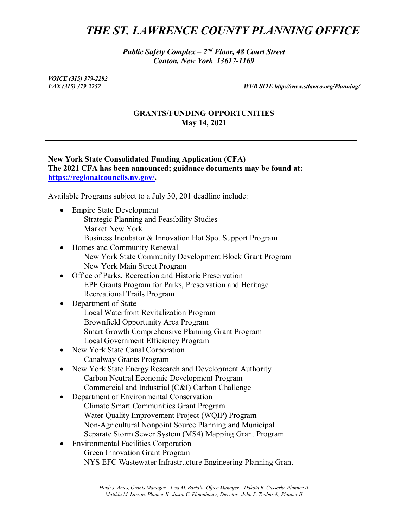# *THE ST. LAWRENCE COUNTY PLANNING OFFICE*

*Public Safety Complex – 2nd Floor, 48 Court Street Canton, New York 13617-1169*

*VOICE (315) 379-2292*

*FAX (315) 379-2252 WEB SITE http://www.stlawco.org/Planning/*

### **GRANTS/FUNDING OPPORTUNITIES May 14, 2021**

## **New York State Consolidated Funding Application (CFA) The 2021 CFA has been announced; guidance documents may be found at: [https://regionalcouncils.ny.gov/.](https://regionalcouncils.ny.gov/)**

Available Programs subject to a July 30, 201 deadline include:

- Empire State Development Strategic Planning and Feasibility Studies Market New York Business Incubator & Innovation Hot Spot Support Program
- Homes and Community Renewal New York State Community Development Block Grant Program New York Main Street Program
- Office of Parks, Recreation and Historic Preservation EPF Grants Program for Parks, Preservation and Heritage Recreational Trails Program
- Department of State Local Waterfront Revitalization Program Brownfield Opportunity Area Program Smart Growth Comprehensive Planning Grant Program Local Government Efficiency Program
- New York State Canal Corporation Canalway Grants Program
- New York State Energy Research and Development Authority Carbon Neutral Economic Development Program Commercial and Industrial (C&I) Carbon Challenge
- Department of Environmental Conservation Climate Smart Communities Grant Program Water Quality Improvement Project (WQIP) Program Non-Agricultural Nonpoint Source Planning and Municipal Separate Storm Sewer System (MS4) Mapping Grant Program
- Environmental Facilities Corporation Green Innovation Grant Program NYS EFC Wastewater Infrastructure Engineering Planning Grant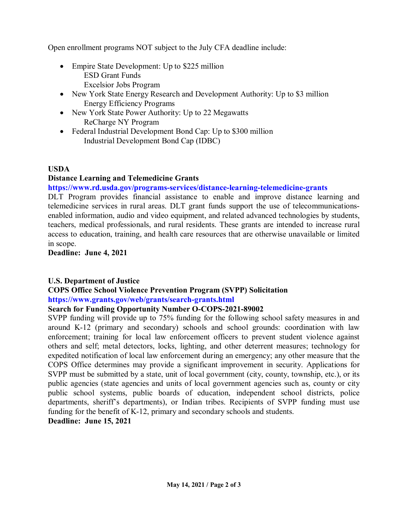Open enrollment programs NOT subject to the July CFA deadline include:

- Empire State Development: Up to \$225 million ESD Grant Funds
	- Excelsior Jobs Program
- New York State Energy Research and Development Authority: Up to \$3 million Energy Efficiency Programs
- New York State Power Authority: Up to 22 Megawatts ReCharge NY Program
- Federal Industrial Development Bond Cap: Up to \$300 million Industrial Development Bond Cap (IDBC)

#### **USDA**

#### **Distance Learning and Telemedicine Grants**

**https://www.rd.usda.gov/programs-services/distance-learning-telemedicine-grants**

DLT Program provides financial assistance to enable and improve distance learning and telemedicine services in rural areas. DLT grant funds support the use of telecommunicationsenabled information, audio and video equipment, and related advanced technologies by students, teachers, medical professionals, and rural residents. These grants are intended to increase rural access to education, training, and health care resources that are otherwise unavailable or limited in scope.

**Deadline: June 4, 2021**

#### **U.S. Department of Justice**

# **COPS Office School Violence Prevention Program (SVPP) Solicitation https://www.grants.gov/web/grants/search-grants.html**

#### **Search for Funding Opportunity Number O-COPS-2021-89002**

SVPP funding will provide up to 75% funding for the following school safety measures in and around K-12 (primary and secondary) schools and school grounds: coordination with law enforcement; training for local law enforcement officers to prevent student violence against others and self; metal detectors, locks, lighting, and other deterrent measures; technology for expedited notification of local law enforcement during an emergency; any other measure that the COPS Office determines may provide a significant improvement in security. Applications for SVPP must be submitted by a state, unit of local government (city, county, township, etc.), or its public agencies (state agencies and units of local government agencies such as, county or city public school systems, public boards of education, independent school districts, police departments, sheriff's departments), or Indian tribes. Recipients of SVPP funding must use funding for the benefit of K-12, primary and secondary schools and students.

**Deadline: June 15, 2021**